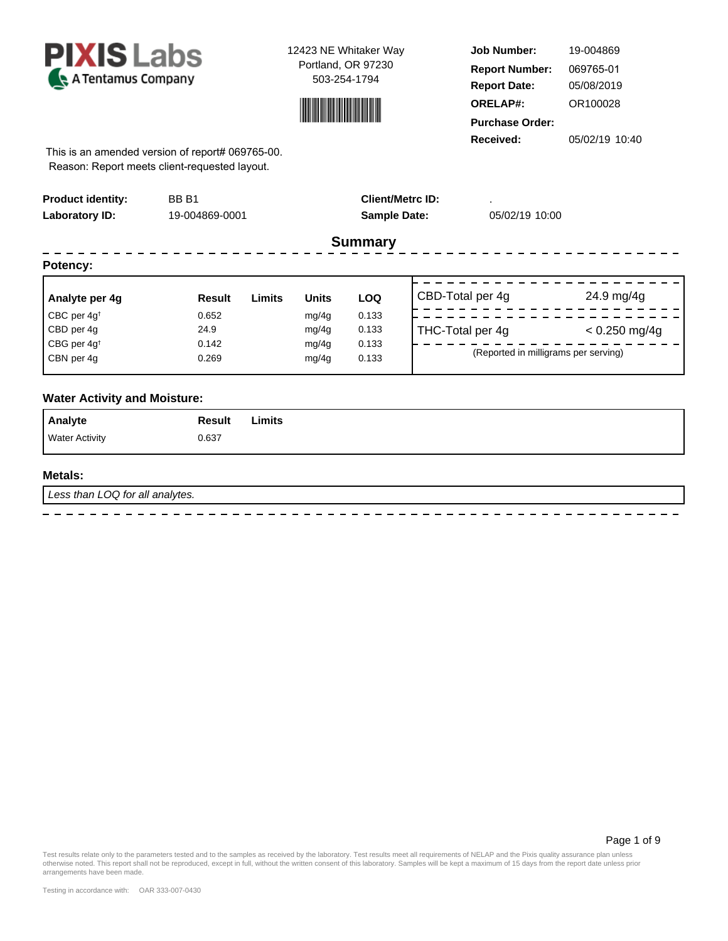



**Job Number: Report Date: ORELAP#:** 05/08/2019 OR100028 **Received:** 05/02/19 10:40 **Purchase Order:** 19-004869 **Report Number: 069765-01** 

This is an amended version of report# 069765-00. Reason: Report meets client-requested layout.

| <b>Product identity:</b><br>Laboratory ID: | BB <sub>B1</sub><br>19-004869-0001 |        |              | <b>Sample Date:</b> | <b>Client/Metrc ID:</b> | 05/02/19 10:00                       |                 |
|--------------------------------------------|------------------------------------|--------|--------------|---------------------|-------------------------|--------------------------------------|-----------------|
|                                            |                                    |        |              | <b>Summary</b>      |                         |                                      |                 |
| Potency:                                   |                                    |        |              |                     |                         |                                      |                 |
| Analyte per 4g                             | <b>Result</b>                      | Limits | <b>Units</b> | <b>LOQ</b>          | CBD-Total per 4g        |                                      | 24.9 mg/4g      |
| CBC per $4q^{\dagger}$                     | 0.652                              |        | mg/4g        | 0.133               |                         |                                      |                 |
| CBD per 4q                                 | 24.9                               |        | mg/4g        | 0.133               | THC-Total per 4g        |                                      | $< 0.250$ mg/4g |
| CBG per 4g <sup>t</sup>                    | 0.142                              |        | mg/4g        | 0.133               |                         |                                      |                 |
| CBN per 4g                                 | 0.269                              |        | mg/4g        | 0.133               |                         | (Reported in milligrams per serving) |                 |

## **Water Activity and Moisture:**

| <b>Analyte</b>        | Result | Limits |
|-----------------------|--------|--------|
| <b>Water Activity</b> | 0.637  |        |

#### **Metals:**

Less than LOQ for all analytes.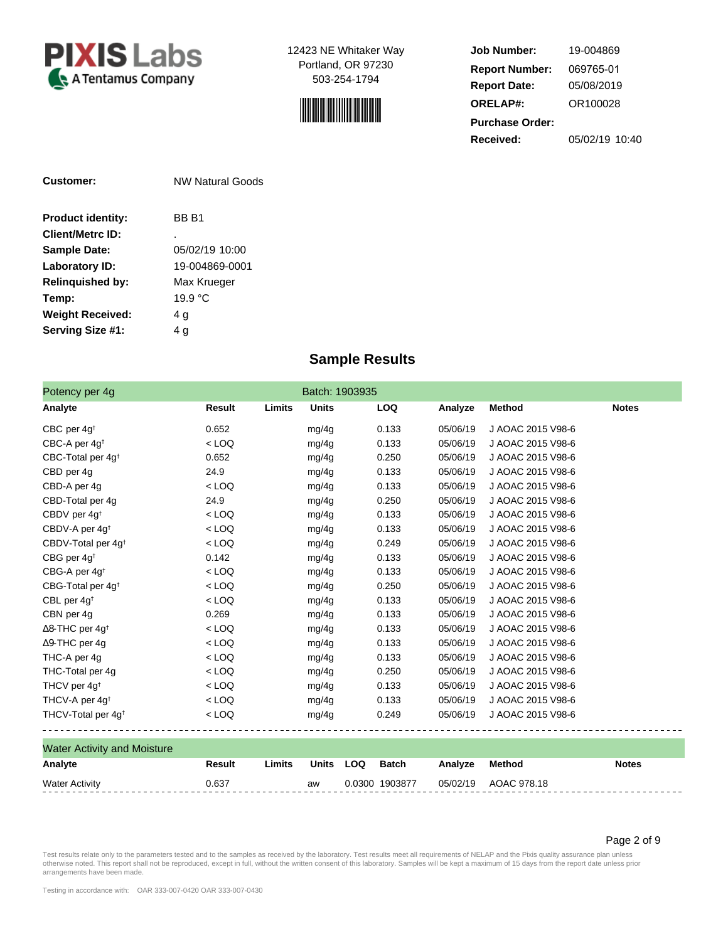



**Job Number: Report Date: ORELAP#:** 05/08/2019 OR100028 **Received:** 05/02/19 10:40 **Purchase Order:** 19-004869 **Report Number: 069765-01** 

| Customer:                | NW Natural Goods |  |  |  |
|--------------------------|------------------|--|--|--|
| <b>Product identity:</b> | BB B1            |  |  |  |
| <b>Client/Metrc ID:</b>  |                  |  |  |  |
| <b>Sample Date:</b>      | 05/02/19 10:00   |  |  |  |
| Laboratory ID:           | 19-004869-0001   |  |  |  |
| <b>Relinguished by:</b>  | Max Krueger      |  |  |  |
| Temp:                    | 19.9 °C          |  |  |  |
| <b>Weight Received:</b>  | 4 g              |  |  |  |
| Serving Size #1:         | 4 a              |  |  |  |

# **Sample Results**

| Potency per 4g                     |         | Batch: 1903935         |            |          |                   |              |
|------------------------------------|---------|------------------------|------------|----------|-------------------|--------------|
| Analyte                            | Result  | Limits<br><b>Units</b> | <b>LOQ</b> | Analyze  | <b>Method</b>     | <b>Notes</b> |
| CBC per $4g^{\dagger}$             | 0.652   | mg/4g                  | 0.133      | 05/06/19 | J AOAC 2015 V98-6 |              |
| CBC-A per $4g^{\dagger}$           | $<$ LOQ | mg/4g                  | 0.133      | 05/06/19 | J AOAC 2015 V98-6 |              |
| CBC-Total per $4g^{\dagger}$       | 0.652   | mg/4g                  | 0.250      | 05/06/19 | J AOAC 2015 V98-6 |              |
| CBD per 4g                         | 24.9    | mg/4g                  | 0.133      | 05/06/19 | J AOAC 2015 V98-6 |              |
| CBD-A per 4g                       | $<$ LOQ | mg/4g                  | 0.133      | 05/06/19 | J AOAC 2015 V98-6 |              |
| CBD-Total per 4g                   | 24.9    | mg/4g                  | 0.250      | 05/06/19 | J AOAC 2015 V98-6 |              |
| CBDV per 4g <sup>t</sup>           | $<$ LOQ | mg/4g                  | 0.133      | 05/06/19 | J AOAC 2015 V98-6 |              |
| CBDV-A per 4g <sup>t</sup>         | $<$ LOQ | mg/4g                  | 0.133      | 05/06/19 | J AOAC 2015 V98-6 |              |
| CBDV-Total per 4g <sup>t</sup>     | $<$ LOQ | mg/4g                  | 0.249      | 05/06/19 | J AOAC 2015 V98-6 |              |
| CBG per 4g <sup>t</sup>            | 0.142   | mg/4g                  | 0.133      | 05/06/19 | J AOAC 2015 V98-6 |              |
| CBG-A per 4g <sup>t</sup>          | $<$ LOQ | mg/4g                  | 0.133      | 05/06/19 | J AOAC 2015 V98-6 |              |
| CBG-Total per $4g^{\dagger}$       | $<$ LOQ | mg/4g                  | 0.250      | 05/06/19 | J AOAC 2015 V98-6 |              |
| CBL per 4g <sup>t</sup>            | $<$ LOQ | mg/4g                  | 0.133      | 05/06/19 | J AOAC 2015 V98-6 |              |
| CBN per 4g                         | 0.269   | mg/4g                  | 0.133      | 05/06/19 | J AOAC 2015 V98-6 |              |
| $\Delta$ 8-THC per 4g <sup>+</sup> | $<$ LOQ | mg/4g                  | 0.133      | 05/06/19 | J AOAC 2015 V98-6 |              |
| $\Delta$ 9-THC per 4q              | $<$ LOQ | mg/4g                  | 0.133      | 05/06/19 | J AOAC 2015 V98-6 |              |
| THC-A per 4g                       | $<$ LOQ | mg/4g                  | 0.133      | 05/06/19 | J AOAC 2015 V98-6 |              |
| THC-Total per 4g                   | $<$ LOQ | mg/4g                  | 0.250      | 05/06/19 | J AOAC 2015 V98-6 |              |
| THCV per 4g <sup>t</sup>           | $<$ LOQ | mg/4g                  | 0.133      | 05/06/19 | J AOAC 2015 V98-6 |              |
| THCV-A per 4g <sup>t</sup>         | $<$ LOQ | mg/4g                  | 0.133      | 05/06/19 | J AOAC 2015 V98-6 |              |
| THCV-Total per 4g <sup>t</sup>     | $<$ LOQ | mg/4g                  | 0.249      | 05/06/19 | J AOAC 2015 V98-6 |              |

| Analyte<br>Units<br>LOQ<br>Batch<br>Result<br><b>Notes</b><br>Method<br>Limits<br>Analvze |  |
|-------------------------------------------------------------------------------------------|--|
|                                                                                           |  |
| AOAC 978.18<br>0.0300 1903877<br>05/02/19<br><b>Water Activity</b><br>0.637<br>aw         |  |

Page 2 of 9

Test results relate only to the parameters tested and to the samples as received by the laboratory. Test results meet all requirements of NELAP and the Pixis quality assurance plan unless<br>otherwise noted. This report shall arrangements have been made.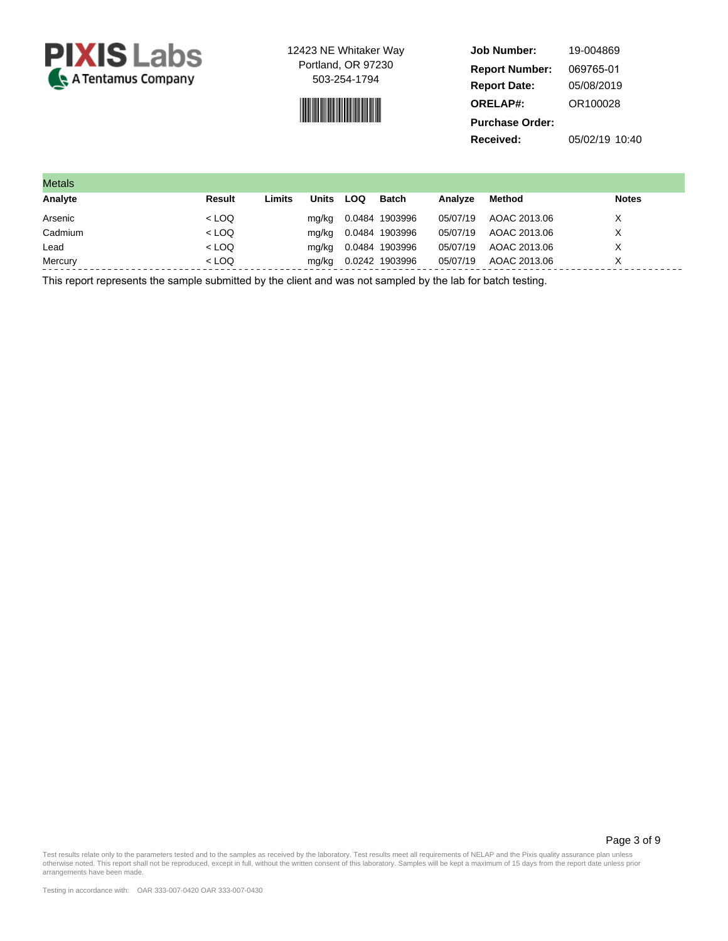

$$
\mathcal{L}^{\text{max}}_{\text{max}}
$$

| <b>Job Number:</b>     | 19-004869      |
|------------------------|----------------|
| <b>Report Number:</b>  | 069765-01      |
| <b>Report Date:</b>    | 05/08/2019     |
| <b>ORELAP#:</b>        | OR100028       |
| <b>Purchase Order:</b> |                |
| Received:              | 05/02/19 10:40 |

| <b>Metals</b> |         |        |              |     |                |          |              |              |
|---------------|---------|--------|--------------|-----|----------------|----------|--------------|--------------|
| Analyte       | Result  | Limits | <b>Units</b> | LOQ | Batch          | Analyze  | Method       | <b>Notes</b> |
| Arsenic       | $<$ LOQ |        | mg/kg        |     | 0.0484 1903996 | 05/07/19 | AOAC 2013.06 | Χ            |
| Cadmium       | $<$ LOQ |        | mg/kg        |     | 0.0484 1903996 | 05/07/19 | AOAC 2013.06 | X            |
| Lead          | $<$ LOQ |        | mg/kg        |     | 0.0484 1903996 | 05/07/19 | AOAC 2013.06 | X            |
| Mercury       | $<$ LOQ |        | mg/kg        |     | 0.0242 1903996 | 05/07/19 | AOAC 2013.06 | Χ            |

This report represents the sample submitted by the client and was not sampled by the lab for batch testing.

Page 3 of 9